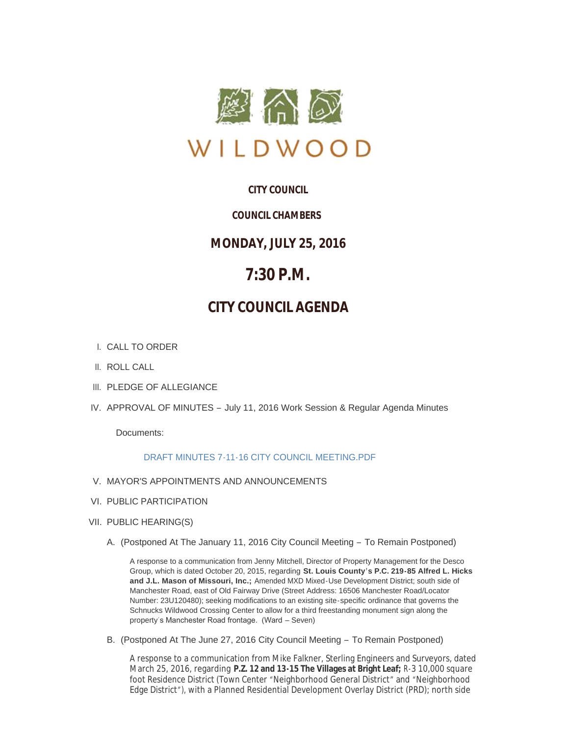

# **CITY COUNCIL**

# *COUNCIL CHAMBERS*

# **MONDAY, JULY 25, 2016**

# **7:30 P.M.**

# **CITY COUNCIL AGENDA**

- CALL TO ORDER I.
- II. ROLL CALL
- III. PLEDGE OF ALLEGIANCE
- IV. APPROVAL OF MINUTES July 11, 2016 Work Session & Regular Agenda Minutes

Documents:

# [DRAFT MINUTES 7-11-16 CITY COUNCIL MEETING.PDF](http://mo-wildwood.civicplus.com/AgendaCenter/ViewFile/Item/7661?fileID=11284)

- V. MAYOR'S APPOINTMENTS AND ANNOUNCEMENTS
- VI. PUBLIC PARTICIPATION
- VII. PUBLIC HEARING(S)
	- A. (Postponed At The January 11, 2016 City Council Meeting To Remain Postponed)

A response to a communication from Jenny Mitchell, Director of Property Management for the Desco Group, which is dated October 20, 2015, regarding **St. Louis County's P.C. 219-85 Alfred L. Hicks and J.L. Mason of Missouri, Inc.;** Amended MXD Mixed-Use Development District; south side of Manchester Road, east of Old Fairway Drive (Street Address: 16506 Manchester Road/Locator Number: 23U120480); seeking modifications to an existing site-specific ordinance that governs the Schnucks Wildwood Crossing Center to allow for a third freestanding monument sign along the property's Manchester Road frontage. (Ward – Seven)

B. (Postponed At The June 27, 2016 City Council Meeting - To Remain Postponed)

A response to a communication from Mike Falkner, Sterling Engineers and Surveyors, dated March 25, 2016, regarding **P.Z. 12 and 13-15 The Villages at Bright Leaf;** R-3 10,000 square foot Residence District (Town Center "Neighborhood General District" and "Neighborhood Edge District"), with a Planned Residential Development Overlay District (PRD); north side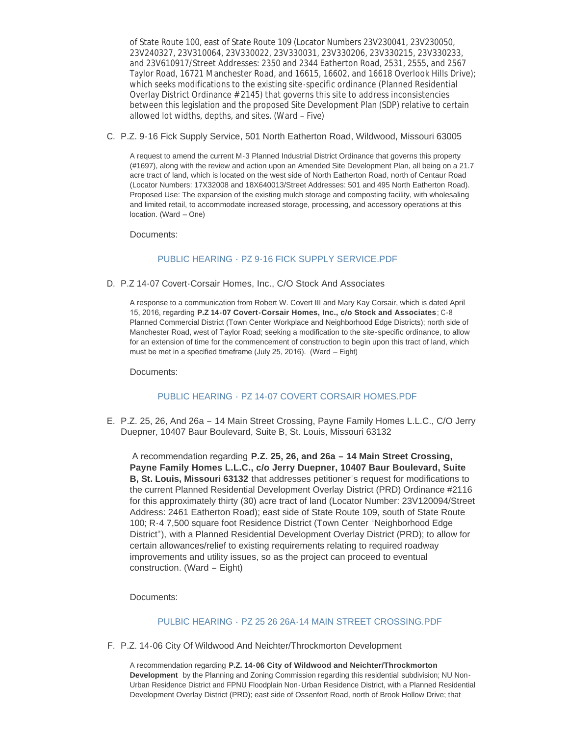of State Route 100, east of State Route 109 (Locator Numbers 23V230041, 23V230050, 23V240327, 23V310064, 23V330022, 23V330031, 23V330206, 23V330215, 23V330233, and 23V610917/Street Addresses: 2350 and 2344 Eatherton Road, 2531, 2555, and 2567 Taylor Road, 16721 Manchester Road, and 16615, 16602, and 16618 Overlook Hills Drive); which seeks modifications to the existing site-specific ordinance (Planned Residential Overlay District Ordinance # 2145) that governs this site to address inconsistencies between this legislation and the proposed Site Development Plan (SDP) relative to certain allowed lot widths, depths, and sites. (Ward – Five)

### C. P.Z. 9-16 Fick Supply Service, 501 North Eatherton Road, Wildwood, Missouri 63005

A request to amend the current M-3 Planned Industrial District Ordinance that governs this property (#1697), along with the review and action upon an Amended Site Development Plan, all being on a 21.7 acre tract of land, which is located on the west side of North Eatherton Road, north of Centaur Road (Locator Numbers: 17X32008 and 18X640013/Street Addresses: 501 and 495 North Eatherton Road). Proposed Use: The expansion of the existing mulch storage and composting facility, with wholesaling and limited retail, to accommodate increased storage, processing, and accessory operations at this location. (Ward – One)

Documents:

# PUBLIC HEARING - [PZ 9-16 FICK SUPPLY SERVICE.PDF](http://mo-wildwood.civicplus.com/AgendaCenter/ViewFile/Item/7667?fileID=11287)

D. P.Z 14-07 Covert-Corsair Homes, Inc., C/O Stock And Associates

A response to a communication from Robert W. Covert III and Mary Kay Corsair, which is dated April 15, 2016, regarding **P.Z 14-07 Covert-Corsair Homes, Inc., c/o Stock and Associates**; C-8 Planned Commercial District (Town Center Workplace and Neighborhood Edge Districts); north side of Manchester Road, west of Taylor Road; seeking a modification to the site-specific ordinance, to allow for an extension of time for the commencement of construction to begin upon this tract of land, which must be met in a specified timeframe (July 25, 2016). (Ward – Eight)

Documents:

# PUBLIC HEARING - [PZ 14-07 COVERT CORSAIR HOMES.PDF](http://mo-wildwood.civicplus.com/AgendaCenter/ViewFile/Item/7668?fileID=11288)

E. P.Z. 25, 26, And 26a - 14 Main Street Crossing, Payne Family Homes L.L.C., C/O Jerry Duepner, 10407 Baur Boulevard, Suite B, St. Louis, Missouri 63132

 A recommendation regarding **P.Z. 25, 26, and 26a – 14 Main Street Crossing, Payne Family Homes L.L.C., c/o Jerry Duepner, 10407 Baur Boulevard, Suite B, St. Louis, Missouri 63132** that addresses petitioner's request for modifications to the current Planned Residential Development Overlay District (PRD) Ordinance #2116 for this approximately thirty (30) acre tract of land (Locator Number: 23V120094/Street Address: 2461 Eatherton Road); east side of State Route 109, south of State Route 100; R-4 7,500 square foot Residence District (Town Center "Neighborhood Edge District"), with a Planned Residential Development Overlay District (PRD); to allow for certain allowances/relief to existing requirements relating to required roadway improvements and utility issues, so as the project can proceed to eventual construction. (Ward – Eight)

Documents:

## PULBIC HEARING - [PZ 25 26 26A-14 MAIN STREET CROSSING.PDF](http://mo-wildwood.civicplus.com/AgendaCenter/ViewFile/Item/7681?fileID=11293)

F. P.Z. 14-06 City Of Wildwood And Neichter/Throckmorton Development

A recommendation regarding **P.Z. 14-06 City of Wildwood and Neichter/Throckmorton Development** by the Planning and Zoning Commission regarding this residential subdivision; NU Non-Urban Residence District and FPNU Floodplain Non-Urban Residence District, with a Planned Residential Development Overlay District (PRD); east side of Ossenfort Road, north of Brook Hollow Drive; that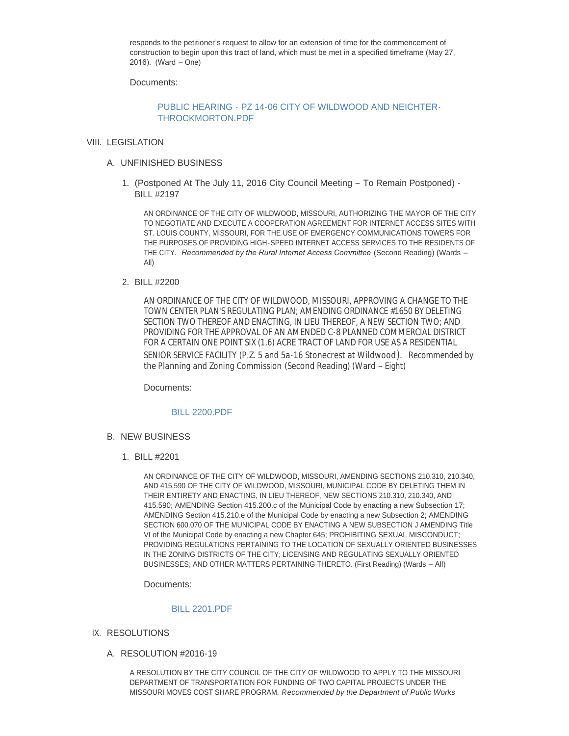responds to the petitioner's request to allow for an extension of time for the commencement of construction to begin upon this tract of land, which must be met in a specified timeframe (May 27, 2016). (Ward – One)

Development Overlay District (PRD); east side of Ossenfort Road, north of Brook Hollow Drive; that

Documents:

# PUBLIC HEARING - [PZ 14-06 CITY OF WILDWOOD AND NEICHTER-](http://mo-wildwood.civicplus.com/AgendaCenter/ViewFile/Item/7669?fileID=11286)THROCKMORTON.PDF

#### VIII. LEGISLATION

- UNFINISHED BUSINESS A.
	- 1. (Postponed At The July 11, 2016 City Council Meeting To Remain Postponed) -BILL #2197

AN ORDINANCE OF THE CITY OF WILDWOOD, MISSOURI, AUTHORIZING THE MAYOR OF THE CITY TO NEGOTIATE AND EXECUTE A COOPERATION AGREEMENT FOR INTERNET ACCESS SITES WITH ST. LOUIS COUNTY, MISSOURI, FOR THE USE OF EMERGENCY COMMUNICATIONS TOWERS FOR THE PURPOSES OF PROVIDING HIGH-SPEED INTERNET ACCESS SERVICES TO THE RESIDENTS OF THE CITY. *Recommended by the Rural Internet Access Committee* (Second Reading) (Wards – All)

#### BILL #2200 2.

AN ORDINANCE OF THE CITY OF WILDWOOD, MISSOURI, APPROVING A CHANGE TO THE TOWN CENTER PLAN'S REGULATING PLAN; AMENDING ORDINANCE #1650 BY DELETING SECTION TWO THEREOF AND ENACTING, IN LIEU THEREOF, A NEW SECTION TWO; AND PROVIDING FOR THE APPROVAL OF AN AMENDED C-8 PLANNED COMMERCIAL DISTRICT FOR A CERTAIN ONE POINT SIX (1.6) ACRE TRACT OF LAND FOR USE AS A RESIDENTIAL SENIOR SERVICE FACILITY (P.Z. 5 and 5a-16 Stonecrest at Wildwood). *Recommended by the Planning and Zoning Commission* (Second Reading) (Ward – Eight)

Documents:

#### [BILL 2200.PDF](http://mo-wildwood.civicplus.com/AgendaCenter/ViewFile/Item/7673?fileID=11285)

- **B. NEW BUSINESS** 
	- BILL #2201 1.

AN ORDINANCE OF THE CITY OF WILDWOOD, MISSOURI, AMENDING SECTIONS 210.310, 210.340, AND 415.590 OF THE CITY OF WILDWOOD, MISSOURI, MUNICIPAL CODE BY DELETING THEM IN THEIR ENTIRETY AND ENACTING, IN LIEU THEREOF, NEW SECTIONS 210.310, 210.340, AND 415.590; AMENDING Section 415.200.c of the Municipal Code by enacting a new Subsection 17; AMENDING Section 415.210.e of the Municipal Code by enacting a new Subsection 2; AMENDING SECTION 600.070 OF THE MUNICIPAL CODE BY ENACTING A NEW SUBSECTION J AMENDING Title VI of the Municipal Code by enacting a new Chapter 645; PROHIBITING SEXUAL MISCONDUCT; PROVIDING REGULATIONS PERTAINING TO THE LOCATION OF SEXUALLY ORIENTED BUSINESSES IN THE ZONING DISTRICTS OF THE CITY; LICENSING AND REGULATING SEXUALLY ORIENTED BUSINESSES; AND OTHER MATTERS PERTAINING THERETO. (First Reading) (Wards – All)

Documents:

#### [BILL 2201.PDF](http://mo-wildwood.civicplus.com/AgendaCenter/ViewFile/Item/7675?fileID=11289)

- IX. RESOLUTIONS
	- A. RESOLUTION #2016-19

A RESOLUTION BY THE CITY COUNCIL OF THE CITY OF WILDWOOD TO APPLY TO THE MISSOURI DEPARTMENT OF TRANSPORTATION FOR FUNDING OF TWO CAPITAL PROJECTS UNDER THE MISSOURI MOVES COST SHARE PROGRAM. *Recommended by the Department of Public Works*